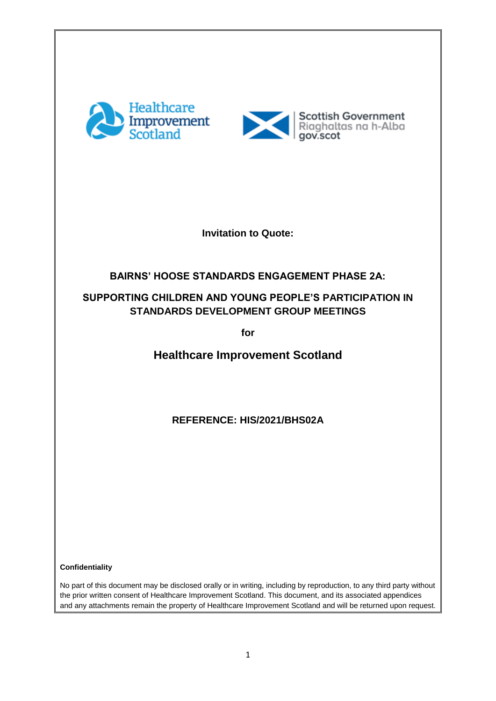



**Invitation to Quote:**

## **BAIRNS' HOOSE STANDARDS ENGAGEMENT PHASE 2A:**

## **SUPPORTING CHILDREN AND YOUNG PEOPLE'S PARTICIPATION IN STANDARDS DEVELOPMENT GROUP MEETINGS**

**for**

**Healthcare Improvement Scotland**

**REFERENCE: HIS/2021/BHS02A**

**Confidentiality** 

No part of this document may be disclosed orally or in writing, including by reproduction, to any third party without the prior written consent of Healthcare Improvement Scotland. This document, and its associated appendices and any attachments remain the property of Healthcare Improvement Scotland and will be returned upon request.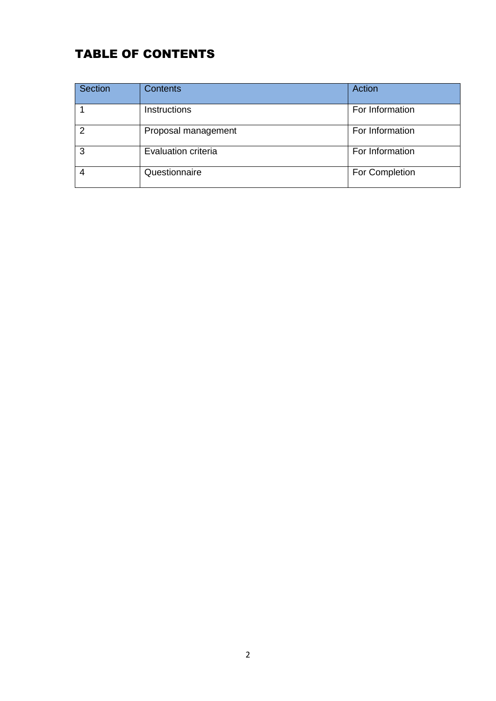# TABLE OF CONTENTS

| Section | <b>Contents</b>     | Action          |
|---------|---------------------|-----------------|
|         | Instructions        | For Information |
| 2       | Proposal management | For Information |
| 3       | Evaluation criteria | For Information |
|         | Questionnaire       | For Completion  |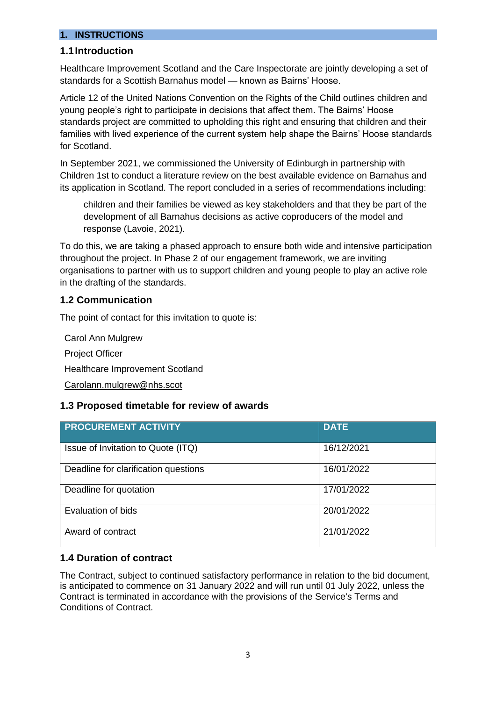#### **1. INSTRUCTIONS**

#### **1.1Introduction**

Healthcare Improvement Scotland and the Care Inspectorate are jointly developing a set of standards for a Scottish Barnahus model — known as Bairns' Hoose.

Article 12 of the United Nations Convention on the Rights of the Child outlines children and young people's right to participate in decisions that affect them. The Bairns' Hoose standards project are committed to upholding this right and ensuring that children and their families with lived experience of the current system help shape the Bairns' Hoose standards for Scotland.

In September 2021, we commissioned the University of Edinburgh in partnership with Children 1st to conduct a literature review on the best available evidence on Barnahus and its application in Scotland. The report concluded in a series of recommendations including:

children and their families be viewed as key stakeholders and that they be part of the development of all Barnahus decisions as active coproducers of the model and response (Lavoie, 2021).

To do this, we are taking a phased approach to ensure both wide and intensive participation throughout the project. In Phase 2 of our engagement framework, we are inviting organisations to partner with us to support children and young people to play an active role in the drafting of the standards.

#### **1.2 Communication**

The point of contact for this invitation to quote is:

Carol Ann Mulgrew Project Officer Healthcare Improvement Scotland [Carolann.mulgrew@nhs.scot](mailto:Carolann.mulgrew@nhs.scot)

#### **1.3 Proposed timetable for review of awards**

| <b>PROCUREMENT ACTIVITY</b>          | <b>DATE</b> |
|--------------------------------------|-------------|
| Issue of Invitation to Quote (ITQ)   | 16/12/2021  |
| Deadline for clarification questions | 16/01/2022  |
| Deadline for quotation               | 17/01/2022  |
| Evaluation of bids                   | 20/01/2022  |
| Award of contract                    | 21/01/2022  |

#### **1.4 Duration of contract**

The Contract, subject to continued satisfactory performance in relation to the bid document, is anticipated to commence on 31 January 2022 and will run until 01 July 2022, unless the Contract is terminated in accordance with the provisions of the Service's Terms and Conditions of Contract.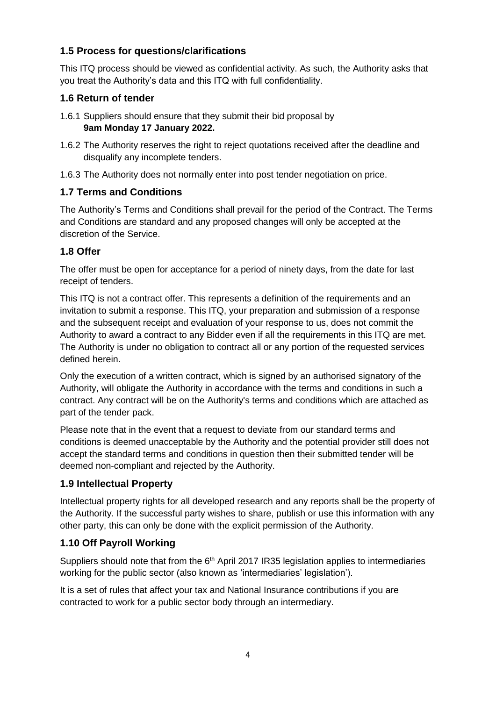## **1.5 Process for questions/clarifications**

This ITQ process should be viewed as confidential activity. As such, the Authority asks that you treat the Authority's data and this ITQ with full confidentiality.

## **1.6 Return of tender**

- 1.6.1 Suppliers should ensure that they submit their bid proposal by **9am Monday 17 January 2022.**
- 1.6.2 The Authority reserves the right to reject quotations received after the deadline and disqualify any incomplete tenders.
- 1.6.3 The Authority does not normally enter into post tender negotiation on price.

## **1.7 Terms and Conditions**

The Authority's Terms and Conditions shall prevail for the period of the Contract. The Terms and Conditions are standard and any proposed changes will only be accepted at the discretion of the Service.

## **1.8 Offer**

The offer must be open for acceptance for a period of ninety days, from the date for last receipt of tenders.

This ITQ is not a contract offer. This represents a definition of the requirements and an invitation to submit a response. This ITQ, your preparation and submission of a response and the subsequent receipt and evaluation of your response to us, does not commit the Authority to award a contract to any Bidder even if all the requirements in this ITQ are met. The Authority is under no obligation to contract all or any portion of the requested services defined herein.

Only the execution of a written contract, which is signed by an authorised signatory of the Authority, will obligate the Authority in accordance with the terms and conditions in such a contract. Any contract will be on the Authority's terms and conditions which are attached as part of the tender pack.

Please note that in the event that a request to deviate from our standard terms and conditions is deemed unacceptable by the Authority and the potential provider still does not accept the standard terms and conditions in question then their submitted tender will be deemed non-compliant and rejected by the Authority.

## **1.9 Intellectual Property**

Intellectual property rights for all developed research and any reports shall be the property of the Authority. If the successful party wishes to share, publish or use this information with any other party, this can only be done with the explicit permission of the Authority.

## **1.10 Off Payroll Working**

Suppliers should note that from the 6<sup>th</sup> April 2017 IR35 legislation applies to intermediaries working for the public sector (also known as 'intermediaries' legislation').

It is a set of rules that affect your tax and National Insurance contributions if you are contracted to work for a public sector body through an intermediary.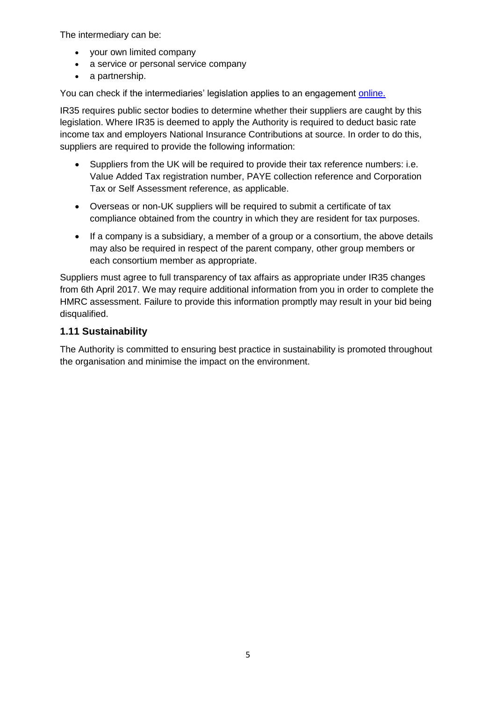The intermediary can be:

- vour own limited company
- a service or personal service company
- a partnership.

You can check if the intermediaries' legislation applies to an engagement [online.](https://www.gov.uk/guidance/check-employment-status-for-tax)

IR35 requires public sector bodies to determine whether their suppliers are caught by this legislation. Where IR35 is deemed to apply the Authority is required to deduct basic rate income tax and employers National Insurance Contributions at source. In order to do this, suppliers are required to provide the following information:

- Suppliers from the UK will be required to provide their tax reference numbers: i.e. Value Added Tax registration number, PAYE collection reference and Corporation Tax or Self Assessment reference, as applicable.
- Overseas or non-UK suppliers will be required to submit a certificate of tax compliance obtained from the country in which they are resident for tax purposes.
- If a company is a subsidiary, a member of a group or a consortium, the above details may also be required in respect of the parent company, other group members or each consortium member as appropriate.

Suppliers must agree to full transparency of tax affairs as appropriate under IR35 changes from 6th April 2017. We may require additional information from you in order to complete the HMRC assessment. Failure to provide this information promptly may result in your bid being disqualified.

## **1.11 Sustainability**

The Authority is committed to ensuring best practice in sustainability is promoted throughout the organisation and minimise the impact on the environment.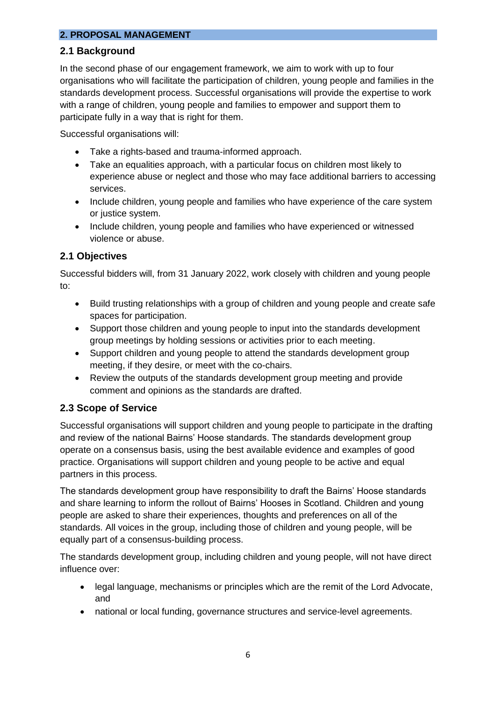#### **2. PROPOSAL MANAGEMENT**

## **2.1 Background**

In the second phase of our engagement framework, we aim to work with up to four organisations who will facilitate the participation of children, young people and families in the standards development process. Successful organisations will provide the expertise to work with a range of children, young people and families to empower and support them to participate fully in a way that is right for them.

Successful organisations will:

- Take a rights-based and trauma-informed approach.
- Take an equalities approach, with a particular focus on children most likely to experience abuse or neglect and those who may face additional barriers to accessing services.
- Include children, young people and families who have experience of the care system or justice system.
- Include children, young people and families who have experienced or witnessed violence or abuse.

## **2.1 Objectives**

Successful bidders will, from 31 January 2022, work closely with children and young people to:

- Build trusting relationships with a group of children and young people and create safe spaces for participation.
- Support those children and young people to input into the standards development group meetings by holding sessions or activities prior to each meeting.
- Support children and young people to attend the standards development group meeting, if they desire, or meet with the co-chairs.
- Review the outputs of the standards development group meeting and provide comment and opinions as the standards are drafted.

## **2.3 Scope of Service**

Successful organisations will support children and young people to participate in the drafting and review of the national Bairns' Hoose standards. The standards development group operate on a consensus basis, using the best available evidence and examples of good practice. Organisations will support children and young people to be active and equal partners in this process.

The standards development group have responsibility to draft the Bairns' Hoose standards and share learning to inform the rollout of Bairns' Hooses in Scotland. Children and young people are asked to share their experiences, thoughts and preferences on all of the standards. All voices in the group, including those of children and young people, will be equally part of a consensus-building process.

The standards development group, including children and young people, will not have direct influence over:

- legal language, mechanisms or principles which are the remit of the Lord Advocate, and
- national or local funding, governance structures and service-level agreements.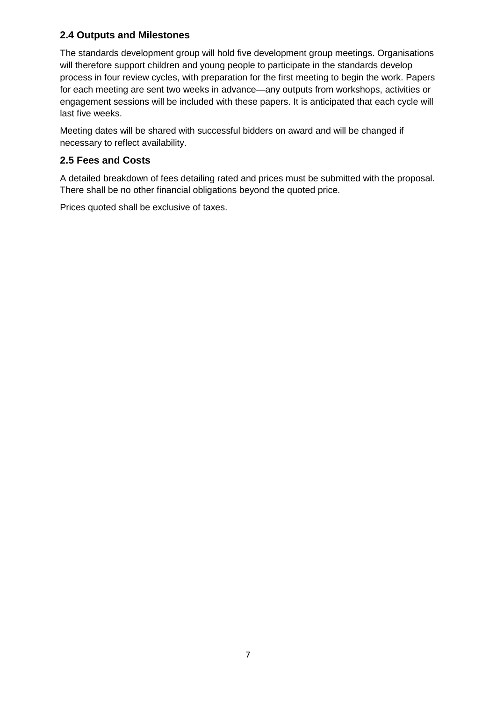## **2.4 Outputs and Milestones**

The standards development group will hold five development group meetings. Organisations will therefore support children and young people to participate in the standards develop process in four review cycles, with preparation for the first meeting to begin the work. Papers for each meeting are sent two weeks in advance—any outputs from workshops, activities or engagement sessions will be included with these papers. It is anticipated that each cycle will last five weeks.

Meeting dates will be shared with successful bidders on award and will be changed if necessary to reflect availability.

# **2.5 Fees and Costs**

A detailed breakdown of fees detailing rated and prices must be submitted with the proposal. There shall be no other financial obligations beyond the quoted price.

Prices quoted shall be exclusive of taxes.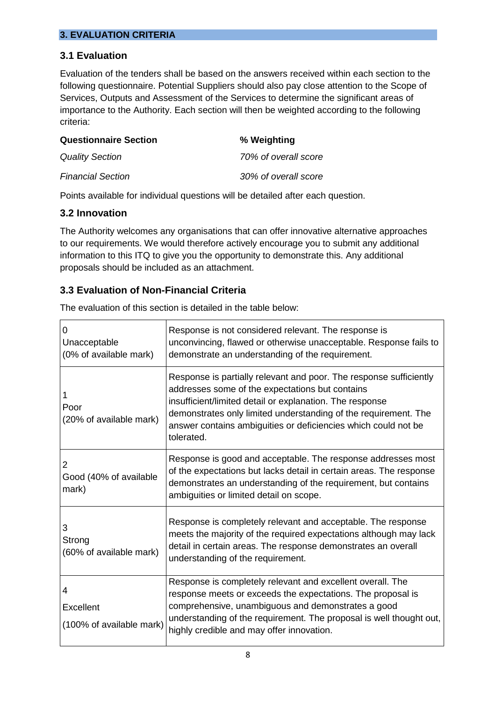## **3. EVALUATION CRITERIA**

## **3.1 Evaluation**

Evaluation of the tenders shall be based on the answers received within each section to the following questionnaire. Potential Suppliers should also pay close attention to the Scope of Services, Outputs and Assessment of the Services to determine the significant areas of importance to the Authority. Each section will then be weighted according to the following criteria:

| <b>Questionnaire Section</b> | % Weighting          |
|------------------------------|----------------------|
| <b>Quality Section</b>       | 70% of overall score |
| <b>Financial Section</b>     | 30% of overall score |

Points available for individual questions will be detailed after each question.

#### **3.2 Innovation**

The Authority welcomes any organisations that can offer innovative alternative approaches to our requirements. We would therefore actively encourage you to submit any additional information to this ITQ to give you the opportunity to demonstrate this. Any additional proposals should be included as an attachment.

## **3.3 Evaluation of Non-Financial Criteria**

The evaluation of this section is detailed in the table below:

| 0<br>Unacceptable<br>(0% of available mark) | Response is not considered relevant. The response is<br>unconvincing, flawed or otherwise unacceptable. Response fails to<br>demonstrate an understanding of the requirement.                                                                                                                                                        |
|---------------------------------------------|--------------------------------------------------------------------------------------------------------------------------------------------------------------------------------------------------------------------------------------------------------------------------------------------------------------------------------------|
| Poor<br>(20% of available mark)             | Response is partially relevant and poor. The response sufficiently<br>addresses some of the expectations but contains<br>insufficient/limited detail or explanation. The response<br>demonstrates only limited understanding of the requirement. The<br>answer contains ambiguities or deficiencies which could not be<br>tolerated. |
| 2<br>Good (40% of available<br>mark)        | Response is good and acceptable. The response addresses most<br>of the expectations but lacks detail in certain areas. The response<br>demonstrates an understanding of the requirement, but contains<br>ambiguities or limited detail on scope.                                                                                     |
| 3<br>Strong<br>(60% of available mark)      | Response is completely relevant and acceptable. The response<br>meets the majority of the required expectations although may lack<br>detail in certain areas. The response demonstrates an overall<br>understanding of the requirement.                                                                                              |
| 4<br>Excellent<br>(100% of available mark)  | Response is completely relevant and excellent overall. The<br>response meets or exceeds the expectations. The proposal is<br>comprehensive, unambiguous and demonstrates a good<br>understanding of the requirement. The proposal is well thought out,<br>highly credible and may offer innovation.                                  |